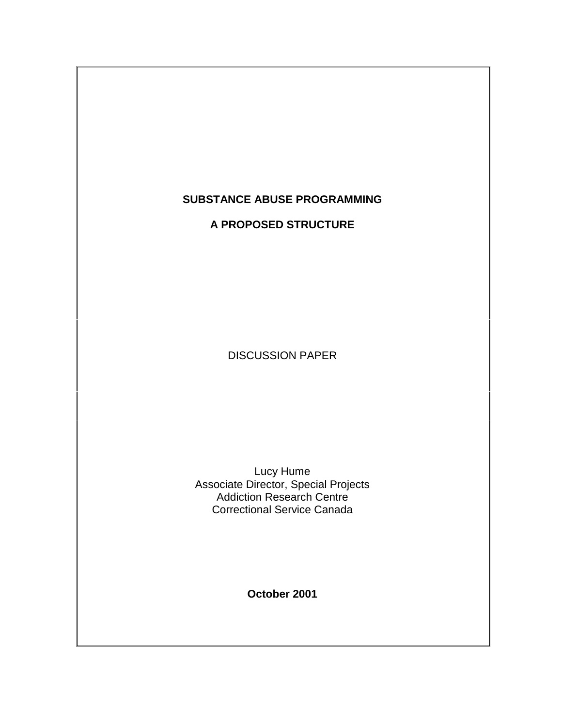# **SUBSTANCE ABUSE PROGRAMMING**

**A PROPOSED STRUCTURE**

DISCUSSION PAPER

Lucy Hume Associate Director, Special Projects Addiction Research Centre Correctional Service Canada

**October 2001**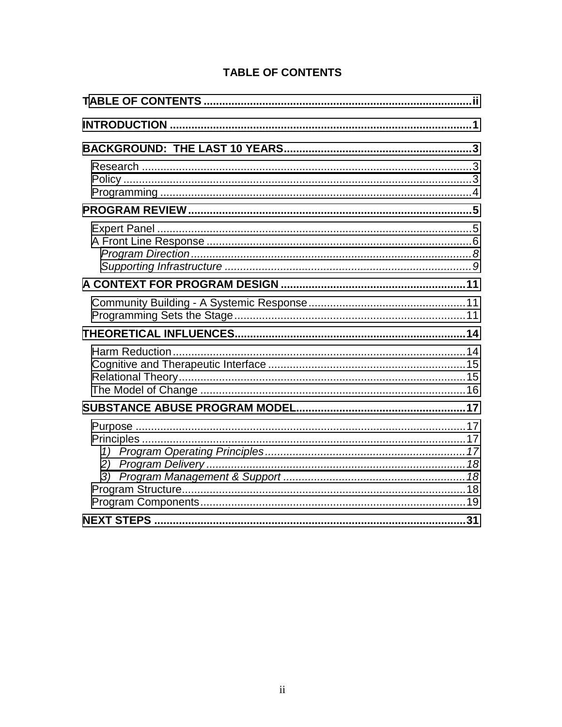| <b>TABLE OF CONTENTS</b> |
|--------------------------|
|--------------------------|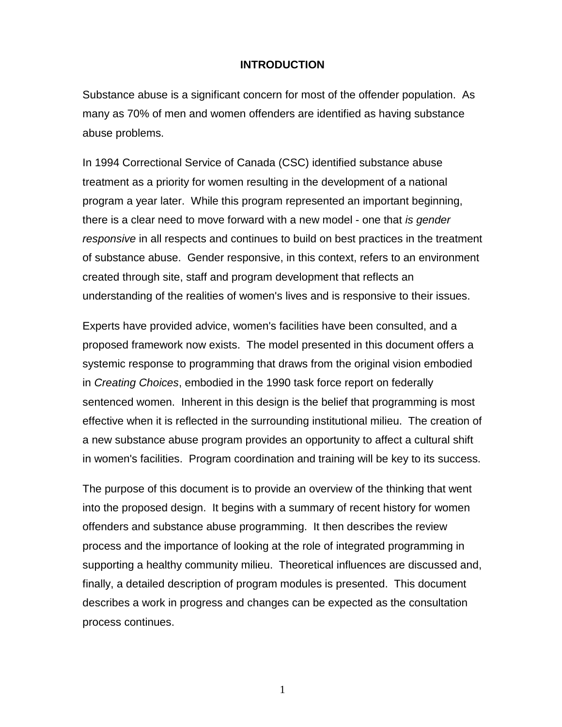#### **INTRODUCTION**

<span id="page-2-0"></span>Substance abuse is a significant concern for most of the offender population. As many as 70% of men and women offenders are identified as having substance abuse problems.

In 1994 Correctional Service of Canada (CSC) identified substance abuse treatment as a priority for women resulting in the development of a national program a year later. While this program represented an important beginning, there is a clear need to move forward with a new model - one that *is gender responsive* in all respects and continues to build on best practices in the treatment of substance abuse. Gender responsive, in this context, refers to an environment created through site, staff and program development that reflects an understanding of the realities of women's lives and is responsive to their issues.

Experts have provided advice, women's facilities have been consulted, and a proposed framework now exists. The model presented in this document offers a systemic response to programming that draws from the original vision embodied in *Creating Choices*, embodied in the 1990 task force report on federally sentenced women. Inherent in this design is the belief that programming is most effective when it is reflected in the surrounding institutional milieu. The creation of a new substance abuse program provides an opportunity to affect a cultural shift in women's facilities. Program coordination and training will be key to its success.

The purpose of this document is to provide an overview of the thinking that went into the proposed design. It begins with a summary of recent history for women offenders and substance abuse programming. It then describes the review process and the importance of looking at the role of integrated programming in supporting a healthy community milieu. Theoretical influences are discussed and, finally, a detailed description of program modules is presented. This document describes a work in progress and changes can be expected as the consultation process continues.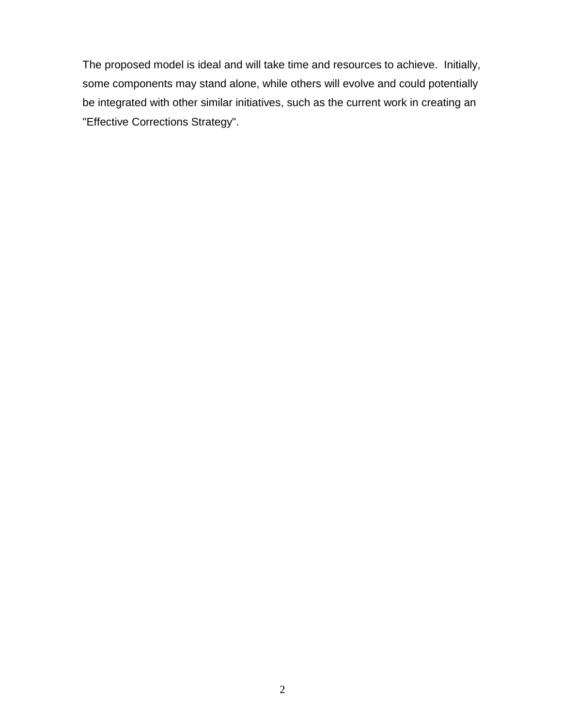The proposed model is ideal and will take time and resources to achieve. Initially, some components may stand alone, while others will evolve and could potentially be integrated with other similar initiatives, such as the current work in creating an "Effective Corrections Strategy".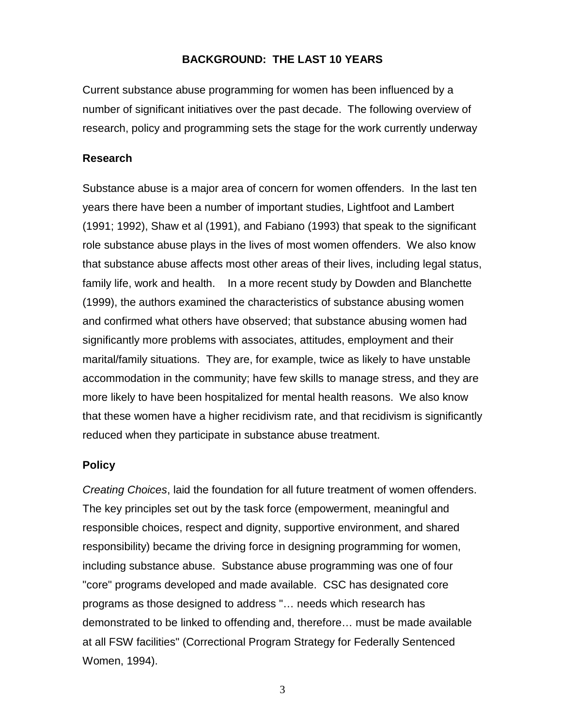### **BACKGROUND: THE LAST 10 YEARS**

<span id="page-4-0"></span>Current substance abuse programming for women has been influenced by a number of significant initiatives over the past decade. The following overview of research, policy and programming sets the stage for the work currently underway

#### **Research**

Substance abuse is a major area of concern for women offenders. In the last ten years there have been a number of important studies, Lightfoot and Lambert (1991; 1992), Shaw et al (1991), and Fabiano (1993) that speak to the significant role substance abuse plays in the lives of most women offenders. We also know that substance abuse affects most other areas of their lives, including legal status, family life, work and health. In a more recent study by Dowden and Blanchette (1999), the authors examined the characteristics of substance abusing women and confirmed what others have observed; that substance abusing women had significantly more problems with associates, attitudes, employment and their marital/family situations. They are, for example, twice as likely to have unstable accommodation in the community; have few skills to manage stress, and they are more likely to have been hospitalized for mental health reasons. We also know that these women have a higher recidivism rate, and that recidivism is significantly reduced when they participate in substance abuse treatment.

#### **Policy**

*Creating Choices*, laid the foundation for all future treatment of women offenders. The key principles set out by the task force (empowerment, meaningful and responsible choices, respect and dignity, supportive environment, and shared responsibility) became the driving force in designing programming for women, including substance abuse. Substance abuse programming was one of four "core" programs developed and made available. CSC has designated core programs as those designed to address "… needs which research has demonstrated to be linked to offending and, therefore… must be made available at all FSW facilities" (Correctional Program Strategy for Federally Sentenced Women, 1994).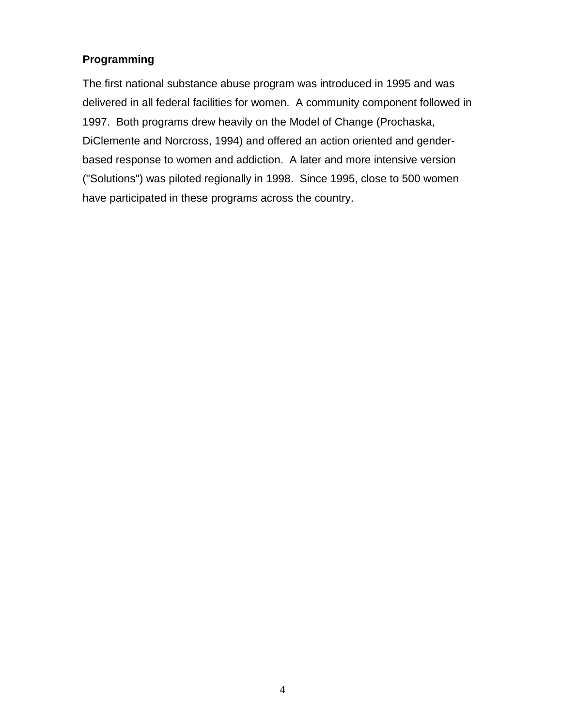# <span id="page-5-0"></span>**Programming**

The first national substance abuse program was introduced in 1995 and was delivered in all federal facilities for women. A community component followed in 1997. Both programs drew heavily on the Model of Change (Prochaska, DiClemente and Norcross, 1994) and offered an action oriented and genderbased response to women and addiction. A later and more intensive version ("Solutions") was piloted regionally in 1998. Since 1995, close to 500 women have participated in these programs across the country.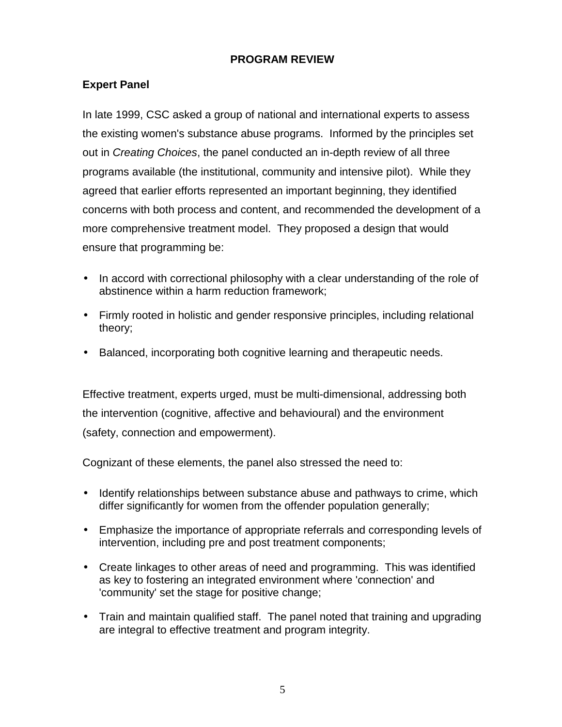### **PROGRAM REVIEW**

## <span id="page-6-0"></span>**Expert Panel**

In late 1999, CSC asked a group of national and international experts to assess the existing women's substance abuse programs. Informed by the principles set out in *Creating Choices*, the panel conducted an in-depth review of all three programs available (the institutional, community and intensive pilot). While they agreed that earlier efforts represented an important beginning, they identified concerns with both process and content, and recommended the development of a more comprehensive treatment model. They proposed a design that would ensure that programming be:

- In accord with correctional philosophy with a clear understanding of the role of abstinence within a harm reduction framework;
- Firmly rooted in holistic and gender responsive principles, including relational theory;
- Balanced, incorporating both cognitive learning and therapeutic needs.

Effective treatment, experts urged, must be multi-dimensional, addressing both the intervention (cognitive, affective and behavioural) and the environment (safety, connection and empowerment).

Cognizant of these elements, the panel also stressed the need to:

- Identify relationships between substance abuse and pathways to crime, which differ significantly for women from the offender population generally;
- Emphasize the importance of appropriate referrals and corresponding levels of intervention, including pre and post treatment components;
- Create linkages to other areas of need and programming. This was identified as key to fostering an integrated environment where 'connection' and 'community' set the stage for positive change;
- Train and maintain qualified staff. The panel noted that training and upgrading are integral to effective treatment and program integrity.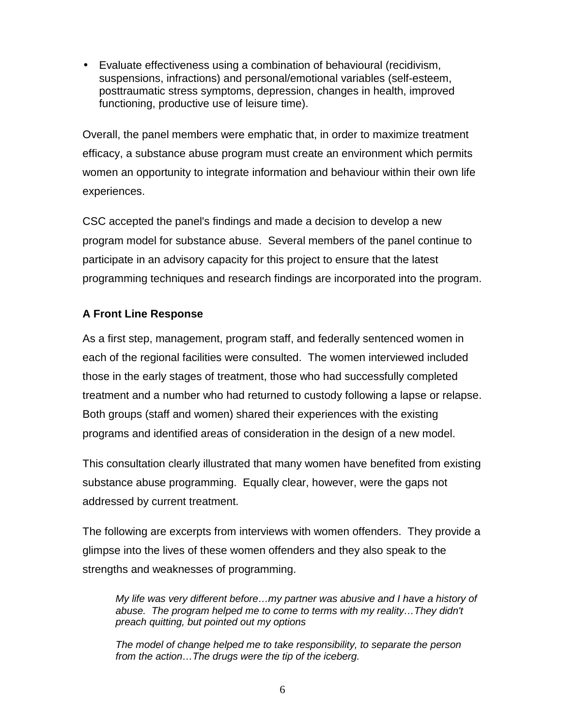<span id="page-7-0"></span>• Evaluate effectiveness using a combination of behavioural (recidivism, suspensions, infractions) and personal/emotional variables (self-esteem, posttraumatic stress symptoms, depression, changes in health, improved functioning, productive use of leisure time).

Overall, the panel members were emphatic that, in order to maximize treatment efficacy, a substance abuse program must create an environment which permits women an opportunity to integrate information and behaviour within their own life experiences.

CSC accepted the panel's findings and made a decision to develop a new program model for substance abuse. Several members of the panel continue to participate in an advisory capacity for this project to ensure that the latest programming techniques and research findings are incorporated into the program.

# **A Front Line Response**

As a first step, management, program staff, and federally sentenced women in each of the regional facilities were consulted. The women interviewed included those in the early stages of treatment, those who had successfully completed treatment and a number who had returned to custody following a lapse or relapse. Both groups (staff and women) shared their experiences with the existing programs and identified areas of consideration in the design of a new model.

This consultation clearly illustrated that many women have benefited from existing substance abuse programming. Equally clear, however, were the gaps not addressed by current treatment.

The following are excerpts from interviews with women offenders. They provide a glimpse into the lives of these women offenders and they also speak to the strengths and weaknesses of programming.

*My life was very different before…my partner was abusive and I have a history of abuse. The program helped me to come to terms with my reality…They didn't preach quitting, but pointed out my options*

*The model of change helped me to take responsibility, to separate the person from the action…The drugs were the tip of the iceberg.*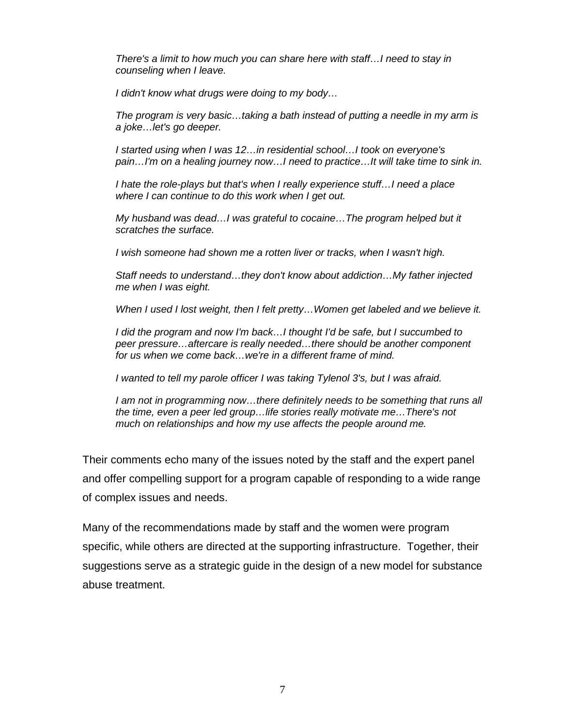*There's a limit to how much you can share here with staff…I need to stay in counseling when I leave.*

*I didn't know what drugs were doing to my body…*

*The program is very basic…taking a bath instead of putting a needle in my arm is a joke…let's go deeper.*

*I started using when I was 12…in residential school…I took on everyone's pain…I'm on a healing journey now…I need to practice…It will take time to sink in.*

*I hate the role-plays but that's when I really experience stuff…I need a place where I can continue to do this work when I get out.*

*My husband was dead…I was grateful to cocaine…The program helped but it scratches the surface.*

*I wish someone had shown me a rotten liver or tracks, when I wasn't high.*

*Staff needs to understand…they don't know about addiction…My father injected me when I was eight.*

*When I used I lost weight, then I felt pretty…Women get labeled and we believe it.*

*I did the program and now I'm back…I thought I'd be safe, but I succumbed to peer pressure…aftercare is really needed…there should be another component for us when we come back…we're in a different frame of mind.*

*I wanted to tell my parole officer I was taking Tylenol 3's, but I was afraid.*

*I am not in programming now…there definitely needs to be something that runs all the time, even a peer led group…life stories really motivate me…There's not much on relationships and how my use affects the people around me.*

Their comments echo many of the issues noted by the staff and the expert panel and offer compelling support for a program capable of responding to a wide range of complex issues and needs.

Many of the recommendations made by staff and the women were program specific, while others are directed at the supporting infrastructure. Together, their suggestions serve as a strategic guide in the design of a new model for substance abuse treatment.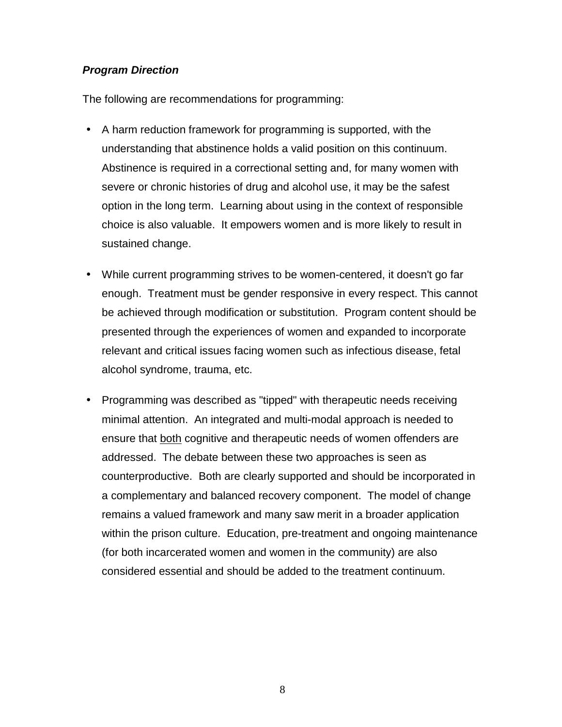# <span id="page-9-0"></span>*Program Direction*

The following are recommendations for programming:

- A harm reduction framework for programming is supported, with the understanding that abstinence holds a valid position on this continuum. Abstinence is required in a correctional setting and, for many women with severe or chronic histories of drug and alcohol use, it may be the safest option in the long term. Learning about using in the context of responsible choice is also valuable. It empowers women and is more likely to result in sustained change.
- While current programming strives to be women-centered, it doesn't go far enough. Treatment must be gender responsive in every respect. This cannot be achieved through modification or substitution. Program content should be presented through the experiences of women and expanded to incorporate relevant and critical issues facing women such as infectious disease, fetal alcohol syndrome, trauma, etc.
- Programming was described as "tipped" with therapeutic needs receiving minimal attention. An integrated and multi-modal approach is needed to ensure that both cognitive and therapeutic needs of women offenders are addressed. The debate between these two approaches is seen as counterproductive. Both are clearly supported and should be incorporated in a complementary and balanced recovery component. The model of change remains a valued framework and many saw merit in a broader application within the prison culture. Education, pre-treatment and ongoing maintenance (for both incarcerated women and women in the community) are also considered essential and should be added to the treatment continuum.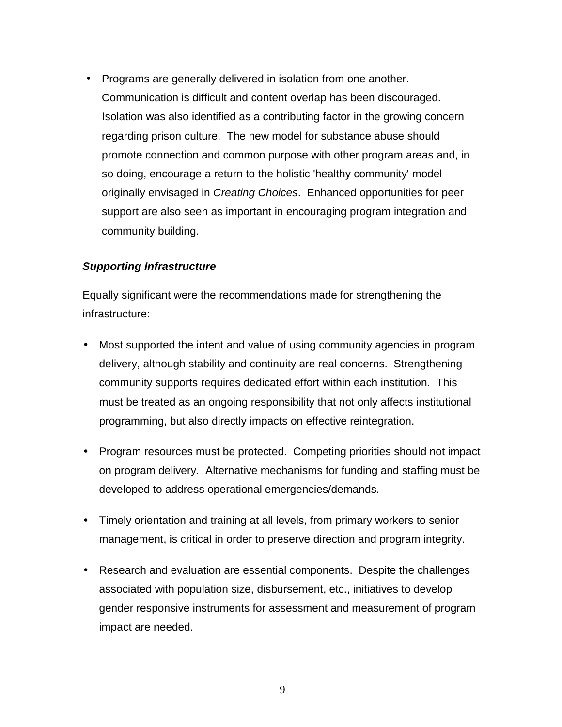<span id="page-10-0"></span>• Programs are generally delivered in isolation from one another. Communication is difficult and content overlap has been discouraged. Isolation was also identified as a contributing factor in the growing concern regarding prison culture. The new model for substance abuse should promote connection and common purpose with other program areas and, in so doing, encourage a return to the holistic 'healthy community' model originally envisaged in *Creating Choices*. Enhanced opportunities for peer support are also seen as important in encouraging program integration and community building.

#### *Supporting Infrastructure*

Equally significant were the recommendations made for strengthening the infrastructure:

- Most supported the intent and value of using community agencies in program delivery, although stability and continuity are real concerns. Strengthening community supports requires dedicated effort within each institution. This must be treated as an ongoing responsibility that not only affects institutional programming, but also directly impacts on effective reintegration.
- Program resources must be protected. Competing priorities should not impact on program delivery. Alternative mechanisms for funding and staffing must be developed to address operational emergencies/demands.
- Timely orientation and training at all levels, from primary workers to senior management, is critical in order to preserve direction and program integrity.
- Research and evaluation are essential components. Despite the challenges associated with population size, disbursement, etc., initiatives to develop gender responsive instruments for assessment and measurement of program impact are needed.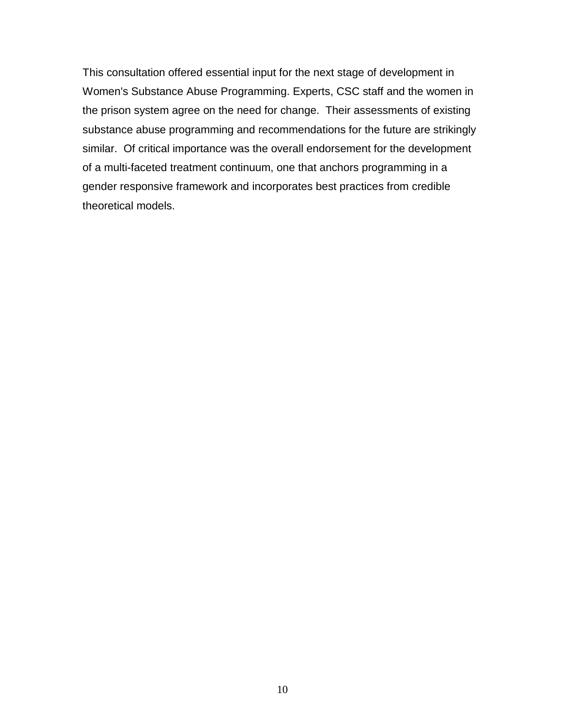This consultation offered essential input for the next stage of development in Women's Substance Abuse Programming. Experts, CSC staff and the women in the prison system agree on the need for change. Their assessments of existing substance abuse programming and recommendations for the future are strikingly similar. Of critical importance was the overall endorsement for the development of a multi-faceted treatment continuum, one that anchors programming in a gender responsive framework and incorporates best practices from credible theoretical models.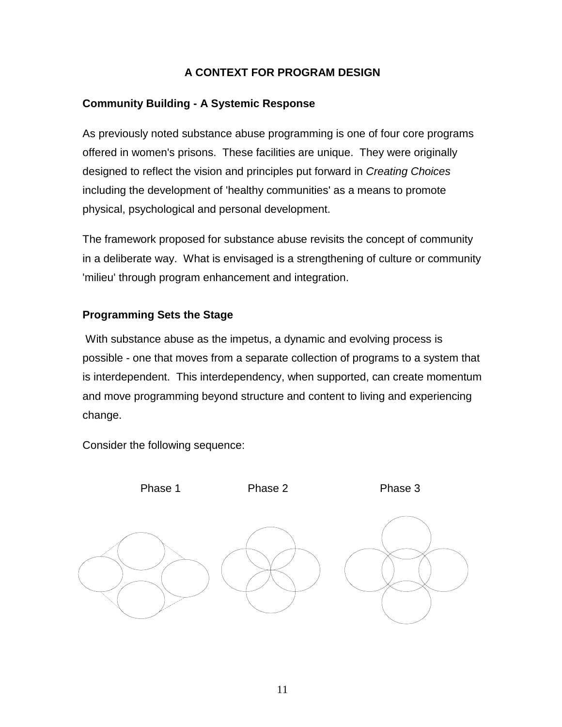## **A CONTEXT FOR PROGRAM DESIGN**

# <span id="page-12-0"></span>**Community Building - A Systemic Response**

As previously noted substance abuse programming is one of four core programs offered in women's prisons. These facilities are unique. They were originally designed to reflect the vision and principles put forward in *Creating Choices* including the development of 'healthy communities' as a means to promote physical, psychological and personal development.

The framework proposed for substance abuse revisits the concept of community in a deliberate way. What is envisaged is a strengthening of culture or community 'milieu' through program enhancement and integration.

# **Programming Sets the Stage**

 With substance abuse as the impetus, a dynamic and evolving process is possible - one that moves from a separate collection of programs to a system that is interdependent. This interdependency, when supported, can create momentum and move programming beyond structure and content to living and experiencing change.

Consider the following sequence:

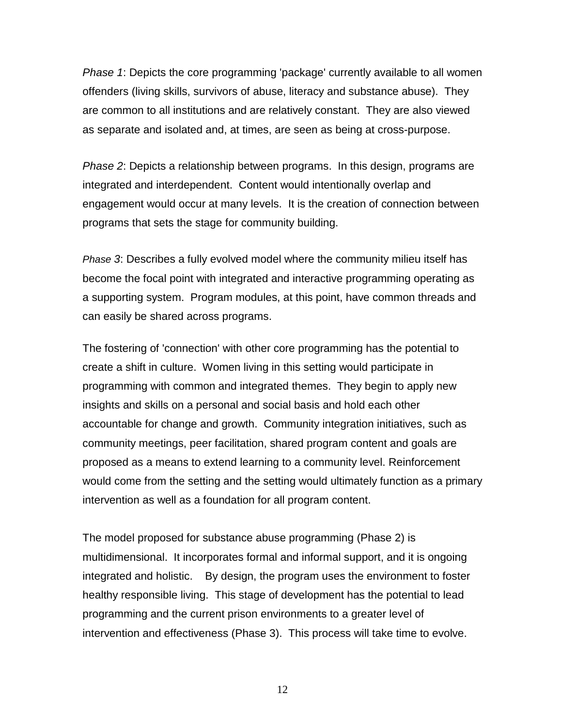*Phase 1*: Depicts the core programming 'package' currently available to all women offenders (living skills, survivors of abuse, literacy and substance abuse). They are common to all institutions and are relatively constant. They are also viewed as separate and isolated and, at times, are seen as being at cross-purpose.

*Phase 2*: Depicts a relationship between programs. In this design, programs are integrated and interdependent. Content would intentionally overlap and engagement would occur at many levels. It is the creation of connection between programs that sets the stage for community building.

*Phase 3*: Describes a fully evolved model where the community milieu itself has become the focal point with integrated and interactive programming operating as a supporting system. Program modules, at this point, have common threads and can easily be shared across programs.

The fostering of 'connection' with other core programming has the potential to create a shift in culture. Women living in this setting would participate in programming with common and integrated themes. They begin to apply new insights and skills on a personal and social basis and hold each other accountable for change and growth. Community integration initiatives, such as community meetings, peer facilitation, shared program content and goals are proposed as a means to extend learning to a community level. Reinforcement would come from the setting and the setting would ultimately function as a primary intervention as well as a foundation for all program content.

The model proposed for substance abuse programming (Phase 2) is multidimensional. It incorporates formal and informal support, and it is ongoing integrated and holistic. By design, the program uses the environment to foster healthy responsible living. This stage of development has the potential to lead programming and the current prison environments to a greater level of intervention and effectiveness (Phase 3). This process will take time to evolve.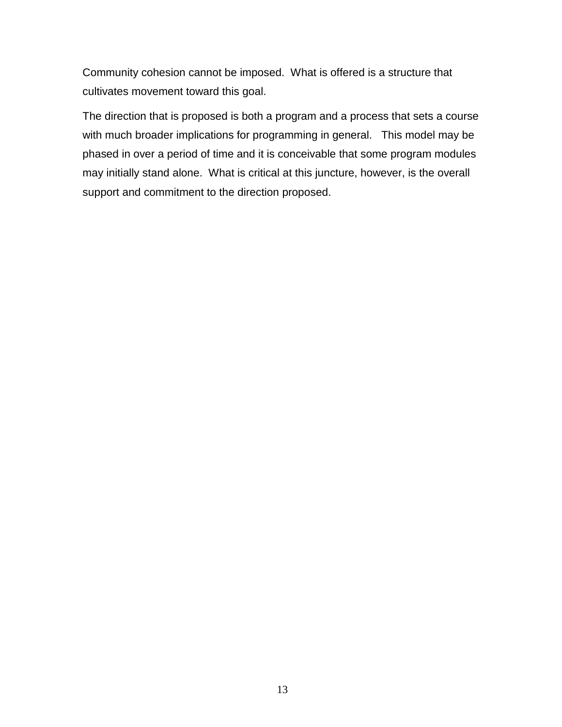Community cohesion cannot be imposed. What is offered is a structure that cultivates movement toward this goal.

The direction that is proposed is both a program and a process that sets a course with much broader implications for programming in general. This model may be phased in over a period of time and it is conceivable that some program modules may initially stand alone. What is critical at this juncture, however, is the overall support and commitment to the direction proposed.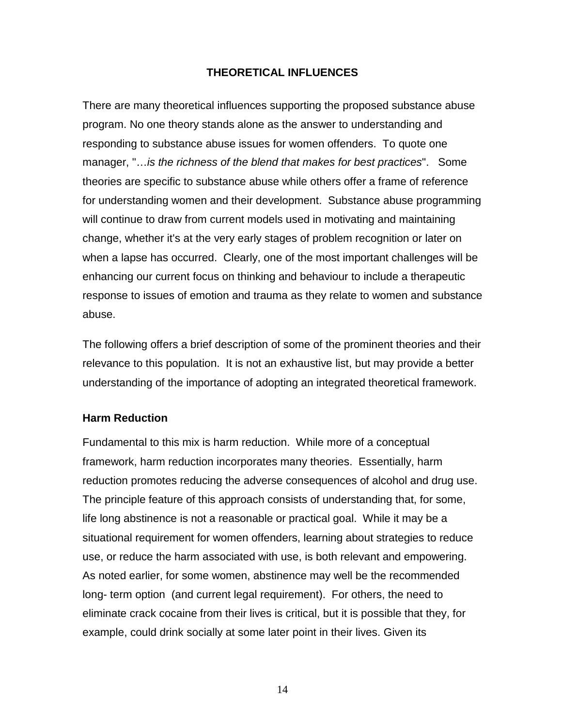### **THEORETICAL INFLUENCES**

<span id="page-15-0"></span>There are many theoretical influences supporting the proposed substance abuse program. No one theory stands alone as the answer to understanding and responding to substance abuse issues for women offenders. To quote one manager, "…*is the richness of the blend that makes for best practices*". Some theories are specific to substance abuse while others offer a frame of reference for understanding women and their development. Substance abuse programming will continue to draw from current models used in motivating and maintaining change, whether it's at the very early stages of problem recognition or later on when a lapse has occurred. Clearly, one of the most important challenges will be enhancing our current focus on thinking and behaviour to include a therapeutic response to issues of emotion and trauma as they relate to women and substance abuse.

The following offers a brief description of some of the prominent theories and their relevance to this population. It is not an exhaustive list, but may provide a better understanding of the importance of adopting an integrated theoretical framework.

#### **Harm Reduction**

Fundamental to this mix is harm reduction. While more of a conceptual framework, harm reduction incorporates many theories. Essentially, harm reduction promotes reducing the adverse consequences of alcohol and drug use. The principle feature of this approach consists of understanding that, for some, life long abstinence is not a reasonable or practical goal. While it may be a situational requirement for women offenders, learning about strategies to reduce use, or reduce the harm associated with use, is both relevant and empowering. As noted earlier, for some women, abstinence may well be the recommended long- term option (and current legal requirement). For others, the need to eliminate crack cocaine from their lives is critical, but it is possible that they, for example, could drink socially at some later point in their lives. Given its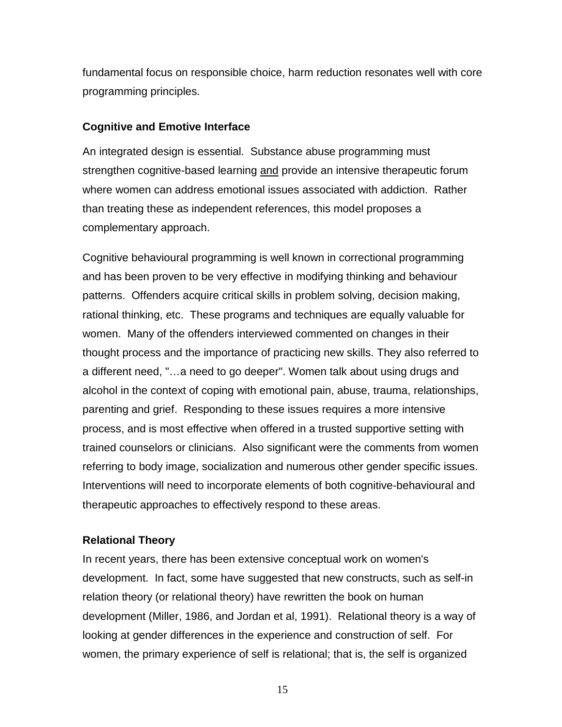<span id="page-16-0"></span>fundamental focus on responsible choice, harm reduction resonates well with core programming principles.

### **Cognitive and Emotive Interface**

An integrated design is essential. Substance abuse programming must strengthen cognitive-based learning and provide an intensive therapeutic forum where women can address emotional issues associated with addiction. Rather than treating these as independent references, this model proposes a complementary approach.

Cognitive behavioural programming is well known in correctional programming and has been proven to be very effective in modifying thinking and behaviour patterns. Offenders acquire critical skills in problem solving, decision making, rational thinking, etc. These programs and techniques are equally valuable for women. Many of the offenders interviewed commented on changes in their thought process and the importance of practicing new skills. They also referred to a different need, "…a need to go deeper". Women talk about using drugs and alcohol in the context of coping with emotional pain, abuse, trauma, relationships, parenting and grief. Responding to these issues requires a more intensive process, and is most effective when offered in a trusted supportive setting with trained counselors or clinicians. Also significant were the comments from women referring to body image, socialization and numerous other gender specific issues. Interventions will need to incorporate elements of both cognitive-behavioural and therapeutic approaches to effectively respond to these areas.

## **Relational Theory**

In recent years, there has been extensive conceptual work on women's development. In fact, some have suggested that new constructs, such as self-in relation theory (or relational theory) have rewritten the book on human development (Miller, 1986, and Jordan et al, 1991). Relational theory is a way of looking at gender differences in the experience and construction of self. For women, the primary experience of self is relational; that is, the self is organized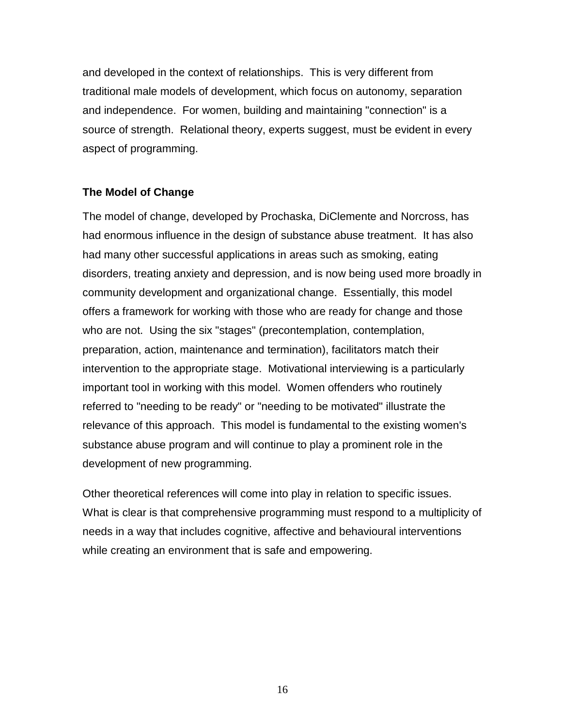<span id="page-17-0"></span>and developed in the context of relationships. This is very different from traditional male models of development, which focus on autonomy, separation and independence. For women, building and maintaining "connection" is a source of strength. Relational theory, experts suggest, must be evident in every aspect of programming.

### **The Model of Change**

The model of change, developed by Prochaska, DiClemente and Norcross, has had enormous influence in the design of substance abuse treatment. It has also had many other successful applications in areas such as smoking, eating disorders, treating anxiety and depression, and is now being used more broadly in community development and organizational change. Essentially, this model offers a framework for working with those who are ready for change and those who are not. Using the six "stages" (precontemplation, contemplation, preparation, action, maintenance and termination), facilitators match their intervention to the appropriate stage. Motivational interviewing is a particularly important tool in working with this model. Women offenders who routinely referred to "needing to be ready" or "needing to be motivated" illustrate the relevance of this approach. This model is fundamental to the existing women's substance abuse program and will continue to play a prominent role in the development of new programming.

Other theoretical references will come into play in relation to specific issues. What is clear is that comprehensive programming must respond to a multiplicity of needs in a way that includes cognitive, affective and behavioural interventions while creating an environment that is safe and empowering.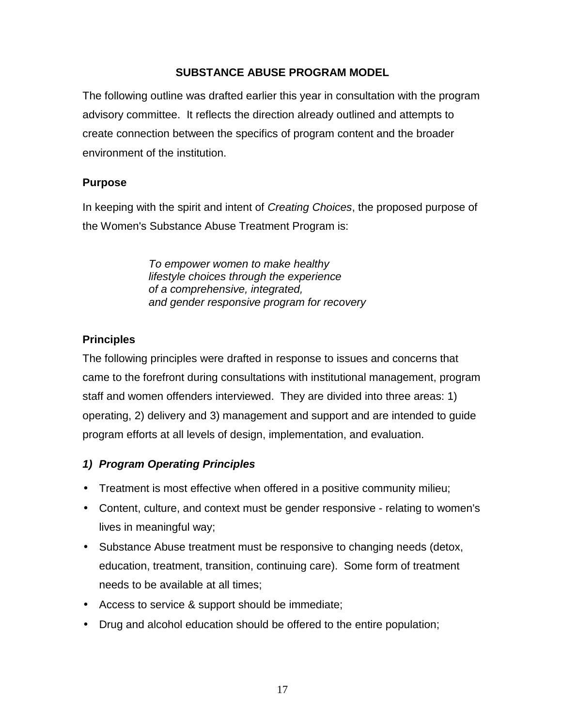## **SUBSTANCE ABUSE PROGRAM MODEL**

<span id="page-18-0"></span>The following outline was drafted earlier this year in consultation with the program advisory committee. It reflects the direction already outlined and attempts to create connection between the specifics of program content and the broader environment of the institution.

### **Purpose**

In keeping with the spirit and intent of *Creating Choices*, the proposed purpose of the Women's Substance Abuse Treatment Program is:

> *To empower women to make healthy lifestyle choices through the experience of a comprehensive, integrated, and gender responsive program for recovery*

# **Principles**

The following principles were drafted in response to issues and concerns that came to the forefront during consultations with institutional management, program staff and women offenders interviewed. They are divided into three areas: 1) operating, 2) delivery and 3) management and support and are intended to guide program efforts at all levels of design, implementation, and evaluation.

# *1) Program Operating Principles*

- Treatment is most effective when offered in a positive community milieu;
- Content, culture, and context must be gender responsive relating to women's lives in meaningful way;
- Substance Abuse treatment must be responsive to changing needs (detox, education, treatment, transition, continuing care). Some form of treatment needs to be available at all times;
- Access to service & support should be immediate;
- Drug and alcohol education should be offered to the entire population;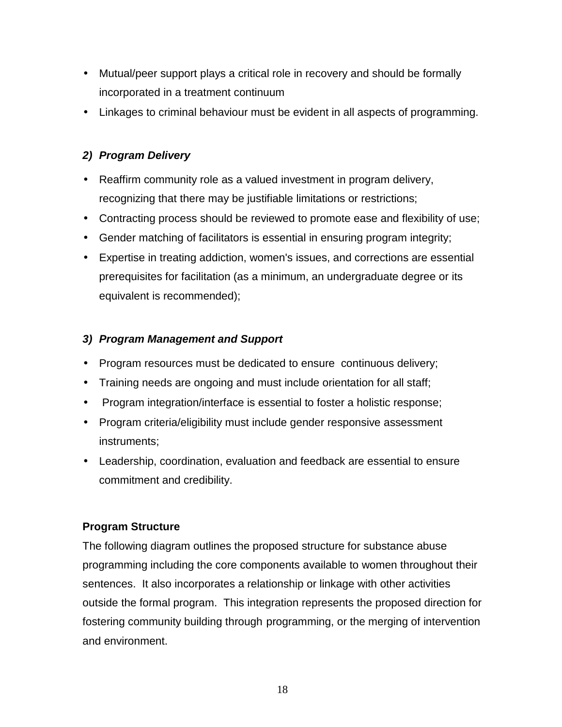- <span id="page-19-0"></span>• Mutual/peer support plays a critical role in recovery and should be formally incorporated in a treatment continuum
- Linkages to criminal behaviour must be evident in all aspects of programming.

# *2) Program Delivery*

- Reaffirm community role as a valued investment in program delivery, recognizing that there may be justifiable limitations or restrictions;
- Contracting process should be reviewed to promote ease and flexibility of use;
- Gender matching of facilitators is essential in ensuring program integrity;
- Expertise in treating addiction, women's issues, and corrections are essential prerequisites for facilitation (as a minimum, an undergraduate degree or its equivalent is recommended);

## *3) Program Management and Support*

- Program resources must be dedicated to ensure continuous delivery;
- Training needs are ongoing and must include orientation for all staff;
- Program integration/interface is essential to foster a holistic response;
- Program criteria/eligibility must include gender responsive assessment instruments;
- Leadership, coordination, evaluation and feedback are essential to ensure commitment and credibility.

## **Program Structure**

The following diagram outlines the proposed structure for substance abuse programming including the core components available to women throughout their sentences. It also incorporates a relationship or linkage with other activities outside the formal program. This integration represents the proposed direction for fostering community building through programming, or the merging of intervention and environment.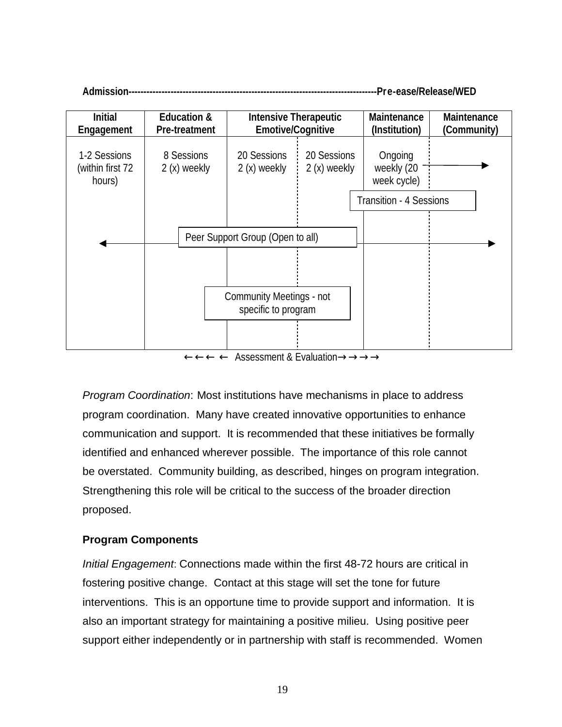<span id="page-20-0"></span>

*Program Coordination*: Most institutions have mechanisms in place to address program coordination. Many have created innovative opportunities to enhance communication and support. It is recommended that these initiatives be formally identified and enhanced wherever possible. The importance of this role cannot be overstated. Community building, as described, hinges on program integration. Strengthening this role will be critical to the success of the broader direction proposed.

## **Program Components**

*Initial Engagement*: Connections made within the first 48-72 hours are critical in fostering positive change. Contact at this stage will set the tone for future interventions. This is an opportune time to provide support and information. It is also an important strategy for maintaining a positive milieu. Using positive peer support either independently or in partnership with staff is recommended. Women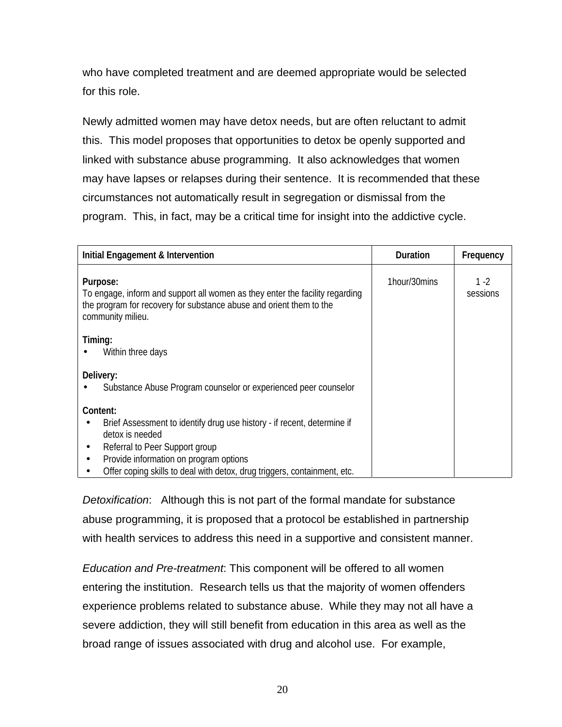who have completed treatment and are deemed appropriate would be selected for this role.

Newly admitted women may have detox needs, but are often reluctant to admit this. This model proposes that opportunities to detox be openly supported and linked with substance abuse programming. It also acknowledges that women may have lapses or relapses during their sentence. It is recommended that these circumstances not automatically result in segregation or dismissal from the program. This, in fact, may be a critical time for insight into the addictive cycle.

| Initial Engagement & Intervention                                                                                                                                                                                                                              | <b>Duration</b> | Frequency        |
|----------------------------------------------------------------------------------------------------------------------------------------------------------------------------------------------------------------------------------------------------------------|-----------------|------------------|
| Purpose:<br>To engage, inform and support all women as they enter the facility regarding<br>the program for recovery for substance abuse and orient them to the<br>community milieu.                                                                           | 1hour/30mins    | 1 -2<br>sessions |
| Timing:<br>Within three days                                                                                                                                                                                                                                   |                 |                  |
| Delivery:<br>Substance Abuse Program counselor or experienced peer counselor                                                                                                                                                                                   |                 |                  |
| Content:<br>Brief Assessment to identify drug use history - if recent, determine if<br>detox is needed<br>Referral to Peer Support group<br>Provide information on program options<br>Offer coping skills to deal with detox, drug triggers, containment, etc. |                 |                  |

*Detoxification*: Although this is not part of the formal mandate for substance abuse programming, it is proposed that a protocol be established in partnership with health services to address this need in a supportive and consistent manner.

*Education and Pre-treatment*: This component will be offered to all women entering the institution. Research tells us that the majority of women offenders experience problems related to substance abuse. While they may not all have a severe addiction, they will still benefit from education in this area as well as the broad range of issues associated with drug and alcohol use. For example,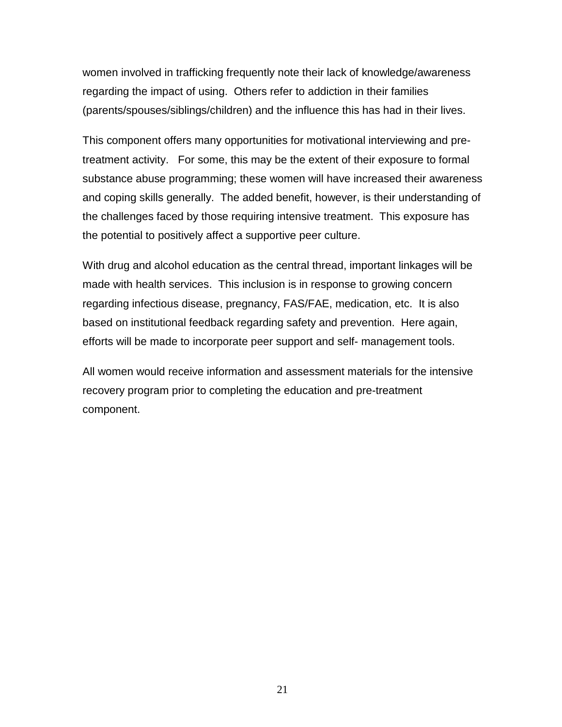women involved in trafficking frequently note their lack of knowledge/awareness regarding the impact of using. Others refer to addiction in their families (parents/spouses/siblings/children) and the influence this has had in their lives.

This component offers many opportunities for motivational interviewing and pretreatment activity. For some, this may be the extent of their exposure to formal substance abuse programming; these women will have increased their awareness and coping skills generally. The added benefit, however, is their understanding of the challenges faced by those requiring intensive treatment. This exposure has the potential to positively affect a supportive peer culture.

With drug and alcohol education as the central thread, important linkages will be made with health services. This inclusion is in response to growing concern regarding infectious disease, pregnancy, FAS/FAE, medication, etc. It is also based on institutional feedback regarding safety and prevention. Here again, efforts will be made to incorporate peer support and self- management tools.

All women would receive information and assessment materials for the intensive recovery program prior to completing the education and pre-treatment component.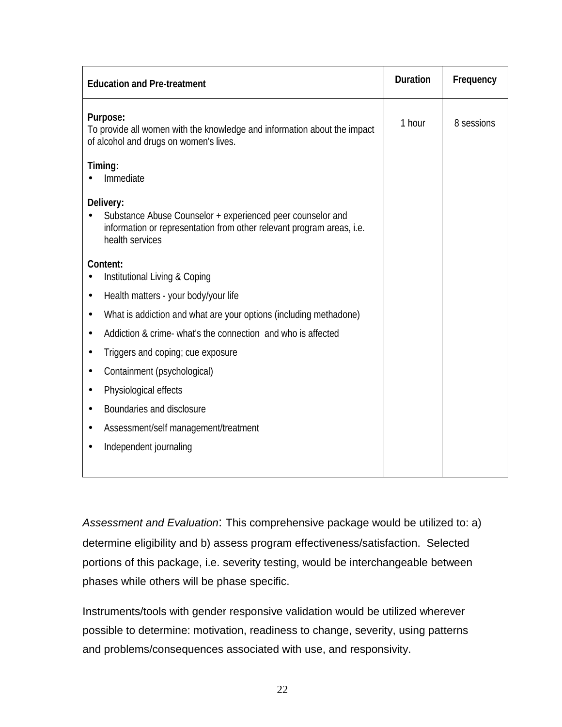| <b>Education and Pre-treatment</b>                                                                                                                                  | <b>Duration</b> | Frequency  |
|---------------------------------------------------------------------------------------------------------------------------------------------------------------------|-----------------|------------|
| Purpose:<br>To provide all women with the knowledge and information about the impact<br>of alcohol and drugs on women's lives.                                      | 1 hour          | 8 sessions |
| Timing:<br>Immediate                                                                                                                                                |                 |            |
| Delivery:<br>Substance Abuse Counselor + experienced peer counselor and<br>information or representation from other relevant program areas, i.e.<br>health services |                 |            |
| Content:<br>Institutional Living & Coping                                                                                                                           |                 |            |
| Health matters - your body/your life<br>$\bullet$                                                                                                                   |                 |            |
| What is addiction and what are your options (including methadone)<br>$\bullet$                                                                                      |                 |            |
| Addiction & crime- what's the connection and who is affected<br>$\bullet$                                                                                           |                 |            |
| Triggers and coping; cue exposure<br>$\bullet$                                                                                                                      |                 |            |
| Containment (psychological)<br>$\bullet$                                                                                                                            |                 |            |
| Physiological effects<br>٠                                                                                                                                          |                 |            |
| Boundaries and disclosure<br>$\bullet$                                                                                                                              |                 |            |
| Assessment/self management/treatment<br>$\bullet$                                                                                                                   |                 |            |
| Independent journaling                                                                                                                                              |                 |            |

*Assessment and Evaluation*: This comprehensive package would be utilized to: a) determine eligibility and b) assess program effectiveness/satisfaction. Selected portions of this package, i.e. severity testing, would be interchangeable between phases while others will be phase specific.

Instruments/tools with gender responsive validation would be utilized wherever possible to determine: motivation, readiness to change, severity, using patterns and problems/consequences associated with use, and responsivity.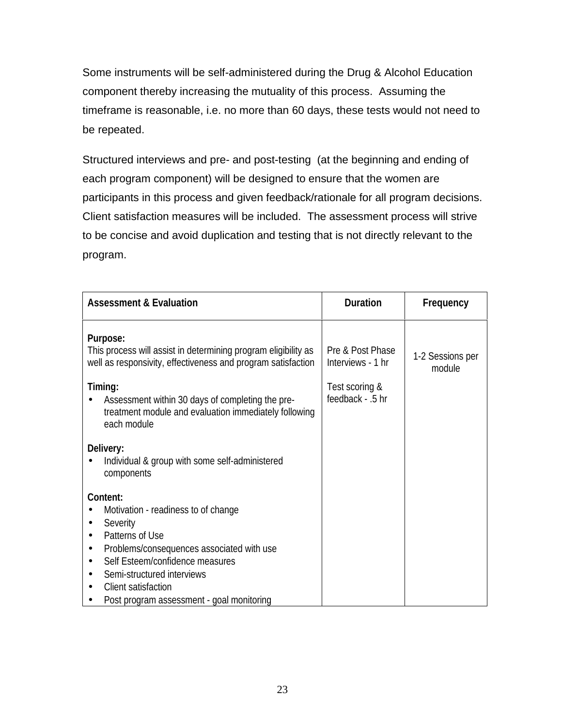Some instruments will be self-administered during the Drug & Alcohol Education component thereby increasing the mutuality of this process. Assuming the timeframe is reasonable, i.e. no more than 60 days, these tests would not need to be repeated.

Structured interviews and pre- and post-testing (at the beginning and ending of each program component) will be designed to ensure that the women are participants in this process and given feedback/rationale for all program decisions. Client satisfaction measures will be included. The assessment process will strive to be concise and avoid duplication and testing that is not directly relevant to the program.

| <b>Assessment &amp; Evaluation</b>                                                                                                                                                                                                                               | <b>Duration</b>                       | Frequency                  |
|------------------------------------------------------------------------------------------------------------------------------------------------------------------------------------------------------------------------------------------------------------------|---------------------------------------|----------------------------|
| <b>Purpose:</b><br>This process will assist in determining program eligibility as<br>well as responsivity, effectiveness and program satisfaction                                                                                                                | Pre & Post Phase<br>Interviews - 1 hr | 1-2 Sessions per<br>module |
| Timing:<br>Assessment within 30 days of completing the pre-<br>treatment module and evaluation immediately following<br>each module                                                                                                                              | Test scoring &<br>feedback - .5 hr    |                            |
| Delivery:<br>Individual & group with some self-administered<br>components                                                                                                                                                                                        |                                       |                            |
| Content:<br>Motivation - readiness to of change<br>Severity<br>Patterns of Use<br>Problems/consequences associated with use<br>Self Esteem/confidence measures<br>Semi-structured interviews<br>Client satisfaction<br>Post program assessment - goal monitoring |                                       |                            |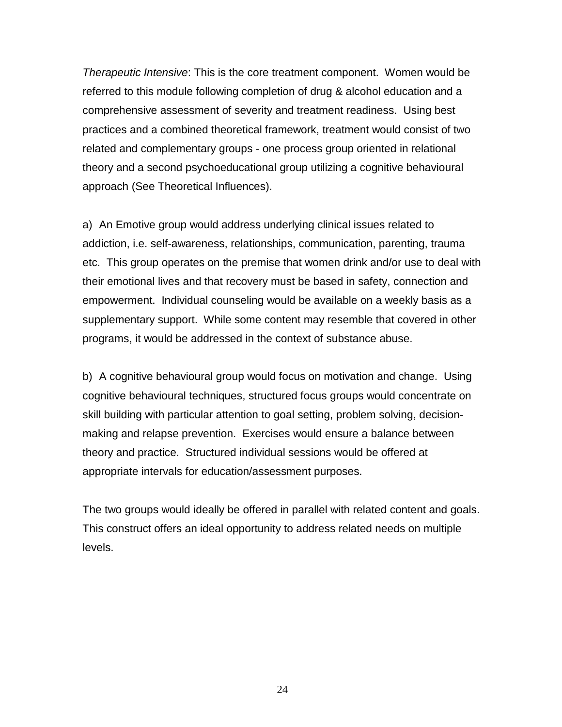*Therapeutic Intensive*: This is the core treatment component. Women would be referred to this module following completion of drug & alcohol education and a comprehensive assessment of severity and treatment readiness. Using best practices and a combined theoretical framework, treatment would consist of two related and complementary groups - one process group oriented in relational theory and a second psychoeducational group utilizing a cognitive behavioural approach (See Theoretical Influences).

a) An Emotive group would address underlying clinical issues related to addiction, i.e. self-awareness, relationships, communication, parenting, trauma etc. This group operates on the premise that women drink and/or use to deal with their emotional lives and that recovery must be based in safety, connection and empowerment. Individual counseling would be available on a weekly basis as a supplementary support. While some content may resemble that covered in other programs, it would be addressed in the context of substance abuse.

b) A cognitive behavioural group would focus on motivation and change. Using cognitive behavioural techniques, structured focus groups would concentrate on skill building with particular attention to goal setting, problem solving, decisionmaking and relapse prevention. Exercises would ensure a balance between theory and practice. Structured individual sessions would be offered at appropriate intervals for education/assessment purposes.

The two groups would ideally be offered in parallel with related content and goals. This construct offers an ideal opportunity to address related needs on multiple levels.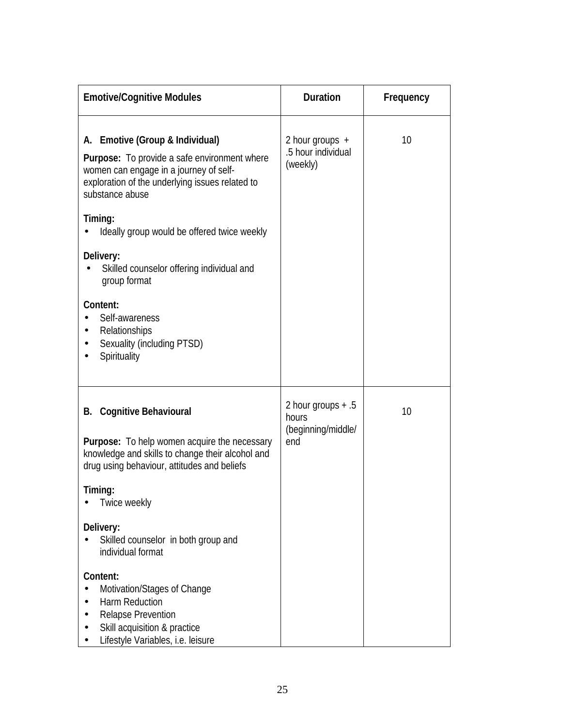| <b>Emotive/Cognitive Modules</b>                                                                                                                                                                                                                                                              | <b>Duration</b>                                            | Frequency |
|-----------------------------------------------------------------------------------------------------------------------------------------------------------------------------------------------------------------------------------------------------------------------------------------------|------------------------------------------------------------|-----------|
| A. Emotive (Group & Individual)<br><b>Purpose:</b> To provide a safe environment where<br>women can engage in a journey of self-<br>exploration of the underlying issues related to<br>substance abuse                                                                                        | 2 hour groups $+$<br>.5 hour individual<br>(weekly)        | 10        |
| Timing:<br>Ideally group would be offered twice weekly<br>Delivery:<br>Skilled counselor offering individual and<br>group format<br>Content:<br>Self-awareness<br>Relationships<br>Sexuality (including PTSD)<br>Spirituality                                                                 |                                                            |           |
| <b>B.</b> Cognitive Behavioural<br><b>Purpose:</b> To help women acquire the necessary<br>knowledge and skills to change their alcohol and<br>drug using behaviour, attitudes and beliefs<br>Timing:<br>Twice weekly<br>Delivery:<br>Skilled counselor in both group and<br>individual format | 2 hour groups $+ .5$<br>hours<br>(beginning/middle/<br>end | 10        |
| Content:<br>Motivation/Stages of Change<br>Harm Reduction<br><b>Relapse Prevention</b><br>Skill acquisition & practice<br>Lifestyle Variables, i.e. leisure                                                                                                                                   |                                                            |           |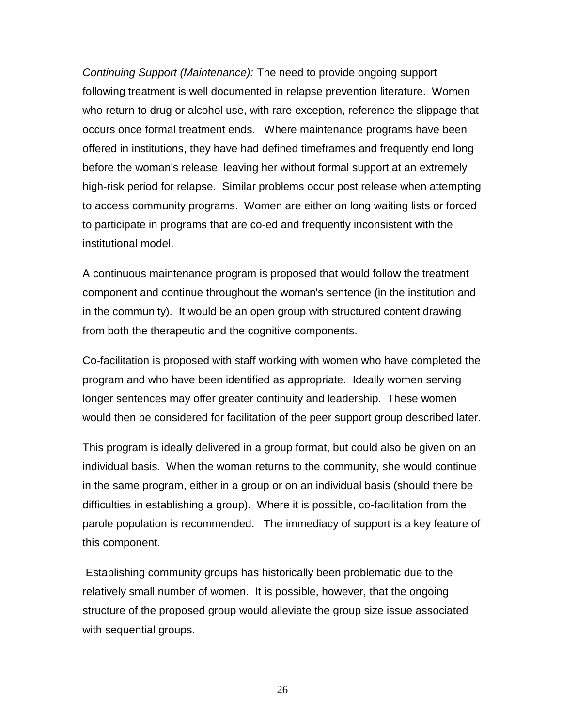*Continuing Support (Maintenance):* The need to provide ongoing support following treatment is well documented in relapse prevention literature. Women who return to drug or alcohol use, with rare exception, reference the slippage that occurs once formal treatment ends. Where maintenance programs have been offered in institutions, they have had defined timeframes and frequently end long before the woman's release, leaving her without formal support at an extremely high-risk period for relapse. Similar problems occur post release when attempting to access community programs. Women are either on long waiting lists or forced to participate in programs that are co-ed and frequently inconsistent with the institutional model.

A continuous maintenance program is proposed that would follow the treatment component and continue throughout the woman's sentence (in the institution and in the community). It would be an open group with structured content drawing from both the therapeutic and the cognitive components.

Co-facilitation is proposed with staff working with women who have completed the program and who have been identified as appropriate. Ideally women serving longer sentences may offer greater continuity and leadership. These women would then be considered for facilitation of the peer support group described later.

This program is ideally delivered in a group format, but could also be given on an individual basis. When the woman returns to the community, she would continue in the same program, either in a group or on an individual basis (should there be difficulties in establishing a group). Where it is possible, co-facilitation from the parole population is recommended. The immediacy of support is a key feature of this component.

 Establishing community groups has historically been problematic due to the relatively small number of women. It is possible, however, that the ongoing structure of the proposed group would alleviate the group size issue associated with sequential groups.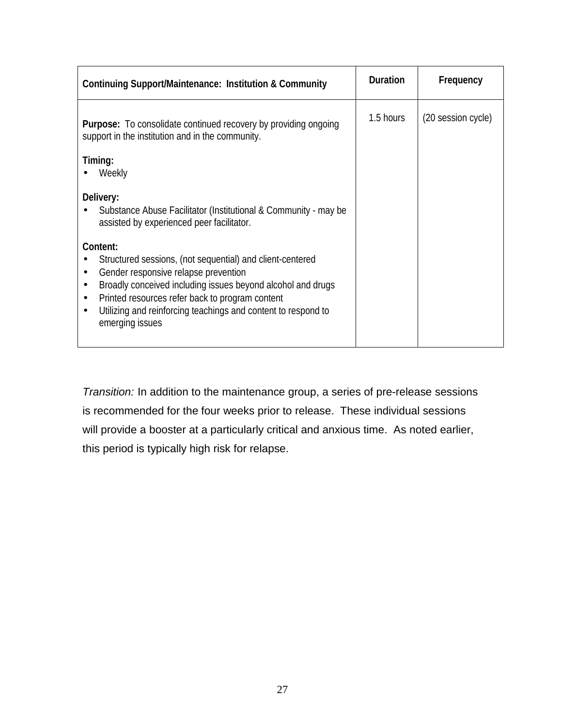| <b>Continuing Support/Maintenance: Institution &amp; Community</b>                                                                                                                                                                                                                                                                                                      | <b>Duration</b> | Frequency          |
|-------------------------------------------------------------------------------------------------------------------------------------------------------------------------------------------------------------------------------------------------------------------------------------------------------------------------------------------------------------------------|-----------------|--------------------|
| <b>Purpose:</b> To consolidate continued recovery by providing ongoing<br>support in the institution and in the community.                                                                                                                                                                                                                                              | 1.5 hours       | (20 session cycle) |
| Timing:<br>Weekly                                                                                                                                                                                                                                                                                                                                                       |                 |                    |
| Delivery:<br>Substance Abuse Facilitator (Institutional & Community - may be<br>assisted by experienced peer facilitator.                                                                                                                                                                                                                                               |                 |                    |
| Content:<br>Structured sessions, (not sequential) and client-centered<br>Gender responsive relapse prevention<br>$\bullet$<br>Broadly conceived including issues beyond alcohol and drugs<br>$\bullet$<br>Printed resources refer back to program content<br>$\bullet$<br>Utilizing and reinforcing teachings and content to respond to<br>$\bullet$<br>emerging issues |                 |                    |

*Transition:* In addition to the maintenance group, a series of pre-release sessions is recommended for the four weeks prior to release. These individual sessions will provide a booster at a particularly critical and anxious time. As noted earlier, this period is typically high risk for relapse.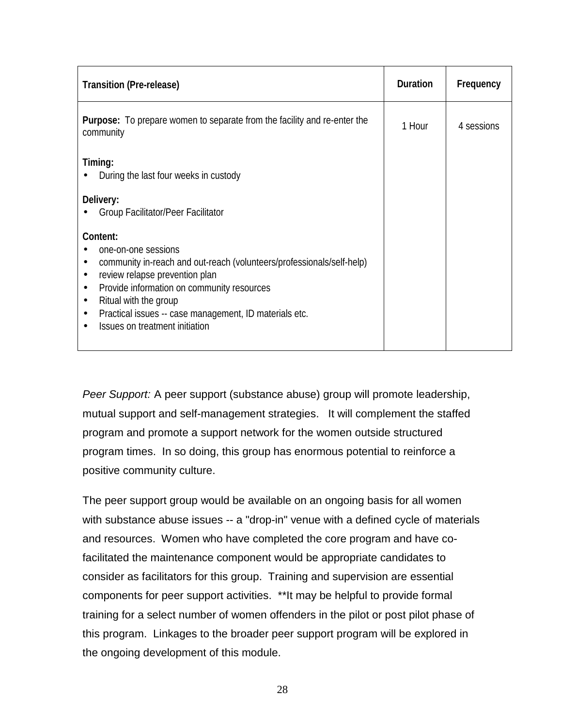| <b>Transition (Pre-release)</b>                                                                                                                                                                                                                                                                                                                                   | <b>Duration</b> | Frequency  |
|-------------------------------------------------------------------------------------------------------------------------------------------------------------------------------------------------------------------------------------------------------------------------------------------------------------------------------------------------------------------|-----------------|------------|
| <b>Purpose:</b> To prepare women to separate from the facility and re-enter the<br>community                                                                                                                                                                                                                                                                      | 1 Hour          | 4 sessions |
| Timing:<br>During the last four weeks in custody<br>Delivery:<br>Group Facilitator/Peer Facilitator                                                                                                                                                                                                                                                               |                 |            |
| Content:<br>one-on-one sessions<br>community in-reach and out-reach (volunteers/professionals/self-help)<br>$\bullet$<br>review relapse prevention plan<br>$\bullet$<br>Provide information on community resources<br>$\bullet$<br>Ritual with the group<br>$\bullet$<br>Practical issues -- case management, ID materials etc.<br>Issues on treatment initiation |                 |            |

*Peer Support:* A peer support (substance abuse) group will promote leadership, mutual support and self-management strategies. It will complement the staffed program and promote a support network for the women outside structured program times. In so doing, this group has enormous potential to reinforce a positive community culture.

The peer support group would be available on an ongoing basis for all women with substance abuse issues -- a "drop-in" venue with a defined cycle of materials and resources. Women who have completed the core program and have cofacilitated the maintenance component would be appropriate candidates to consider as facilitators for this group. Training and supervision are essential components for peer support activities. \*\*It may be helpful to provide formal training for a select number of women offenders in the pilot or post pilot phase of this program. Linkages to the broader peer support program will be explored in the ongoing development of this module.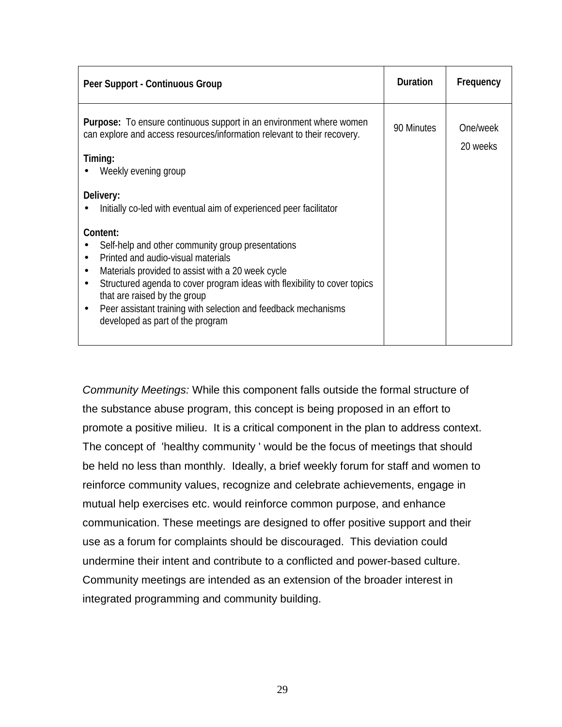| Peer Support - Continuous Group                                                                                                                                                                                                                                                                                                                                                                                                                                                                    | <b>Duration</b> | Frequency            |
|----------------------------------------------------------------------------------------------------------------------------------------------------------------------------------------------------------------------------------------------------------------------------------------------------------------------------------------------------------------------------------------------------------------------------------------------------------------------------------------------------|-----------------|----------------------|
| <b>Purpose:</b> To ensure continuous support in an environment where women<br>can explore and access resources/information relevant to their recovery.<br>Timing:<br>Weekly evening group                                                                                                                                                                                                                                                                                                          | 90 Minutes      | One/week<br>20 weeks |
| Delivery:<br>Initially co-led with eventual aim of experienced peer facilitator<br>Content:<br>Self-help and other community group presentations<br>Printed and audio-visual materials<br>$\bullet$<br>Materials provided to assist with a 20 week cycle<br>٠<br>Structured agenda to cover program ideas with flexibility to cover topics<br>$\bullet$<br>that are raised by the group<br>Peer assistant training with selection and feedback mechanisms<br>٠<br>developed as part of the program |                 |                      |

*Community Meetings:* While this component falls outside the formal structure of the substance abuse program, this concept is being proposed in an effort to promote a positive milieu. It is a critical component in the plan to address context. The concept of 'healthy community ' would be the focus of meetings that should be held no less than monthly. Ideally, a brief weekly forum for staff and women to reinforce community values, recognize and celebrate achievements, engage in mutual help exercises etc. would reinforce common purpose, and enhance communication. These meetings are designed to offer positive support and their use as a forum for complaints should be discouraged. This deviation could undermine their intent and contribute to a conflicted and power-based culture. Community meetings are intended as an extension of the broader interest in integrated programming and community building.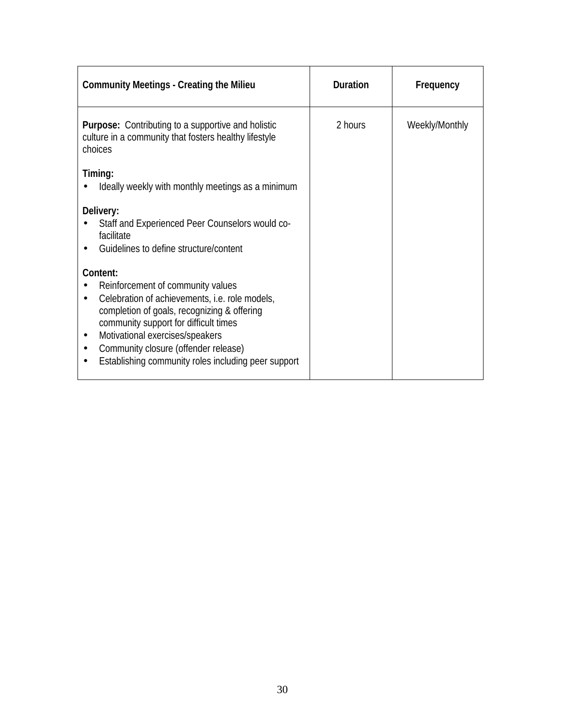| <b>Community Meetings - Creating the Milieu</b>                                                                                                                                                                                                                                                                                        | <b>Duration</b> | Frequency      |
|----------------------------------------------------------------------------------------------------------------------------------------------------------------------------------------------------------------------------------------------------------------------------------------------------------------------------------------|-----------------|----------------|
| Purpose: Contributing to a supportive and holistic<br>culture in a community that fosters healthy lifestyle<br>choices                                                                                                                                                                                                                 | 2 hours         | Weekly/Monthly |
| Timing:<br>Ideally weekly with monthly meetings as a minimum                                                                                                                                                                                                                                                                           |                 |                |
| Delivery:<br>Staff and Experienced Peer Counselors would co-<br>facilitate<br>Guidelines to define structure/content                                                                                                                                                                                                                   |                 |                |
| Content:<br>Reinforcement of community values<br>Celebration of achievements, i.e. role models,<br>completion of goals, recognizing & offering<br>community support for difficult times<br>Motivational exercises/speakers<br>Community closure (offender release)<br>$\bullet$<br>Establishing community roles including peer support |                 |                |